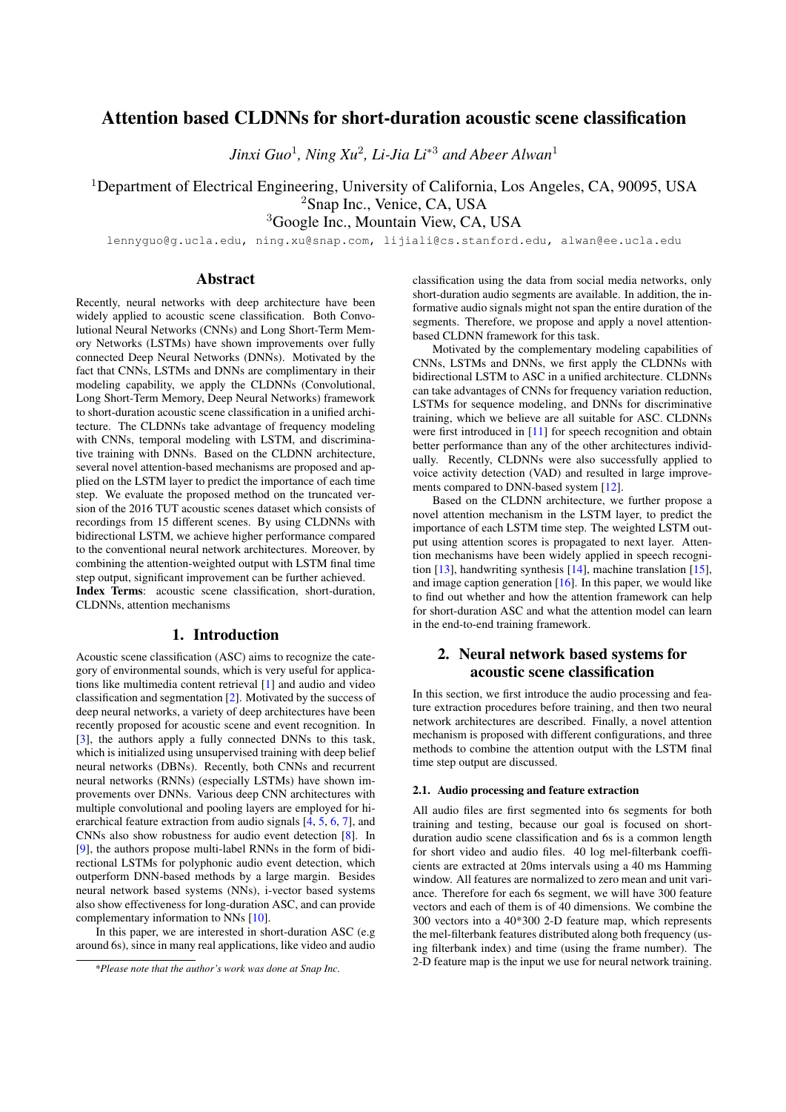# Attention based CLDNNs for short-duration acoustic scene classification

*Jinxi Guo*<sup>1</sup> *, Ning Xu*<sup>2</sup> *, Li-Jia Li*<sup>∗</sup><sup>3</sup> *and Abeer Alwan*<sup>1</sup>

<sup>1</sup>Department of Electrical Engineering, University of California, Los Angeles, CA, 90095, USA <sup>2</sup>Snap Inc., Venice, CA, USA

<sup>3</sup>Google Inc., Mountain View, CA, USA

lennyguo@g.ucla.edu, ning.xu@snap.com, lijiali@cs.stanford.edu, alwan@ee.ucla.edu

### Abstract

Recently, neural networks with deep architecture have been widely applied to acoustic scene classification. Both Convolutional Neural Networks (CNNs) and Long Short-Term Memory Networks (LSTMs) have shown improvements over fully connected Deep Neural Networks (DNNs). Motivated by the fact that CNNs, LSTMs and DNNs are complimentary in their modeling capability, we apply the CLDNNs (Convolutional, Long Short-Term Memory, Deep Neural Networks) framework to short-duration acoustic scene classification in a unified architecture. The CLDNNs take advantage of frequency modeling with CNNs, temporal modeling with LSTM, and discriminative training with DNNs. Based on the CLDNN architecture, several novel attention-based mechanisms are proposed and applied on the LSTM layer to predict the importance of each time step. We evaluate the proposed method on the truncated version of the 2016 TUT acoustic scenes dataset which consists of recordings from 15 different scenes. By using CLDNNs with bidirectional LSTM, we achieve higher performance compared to the conventional neural network architectures. Moreover, by combining the attention-weighted output with LSTM final time step output, significant improvement can be further achieved. Index Terms: acoustic scene classification, short-duration, CLDNNs, attention mechanisms

# 1. Introduction

Acoustic scene classification (ASC) aims to recognize the category of environmental sounds, which is very useful for applications like multimedia content retrieval [\[1\]](#page-4-0) and audio and video classification and segmentation [\[2\]](#page-4-1). Motivated by the success of deep neural networks, a variety of deep architectures have been recently proposed for acoustic scene and event recognition. In [\[3\]](#page-4-2), the authors apply a fully connected DNNs to this task, which is initialized using unsupervised training with deep belief neural networks (DBNs). Recently, both CNNs and recurrent neural networks (RNNs) (especially LSTMs) have shown improvements over DNNs. Various deep CNN architectures with multiple convolutional and pooling layers are employed for hierarchical feature extraction from audio signals [\[4,](#page-4-3) [5,](#page-4-4) [6,](#page-4-5) [7\]](#page-4-6), and CNNs also show robustness for audio event detection [\[8\]](#page-4-7). In [\[9\]](#page-4-8), the authors propose multi-label RNNs in the form of bidirectional LSTMs for polyphonic audio event detection, which outperform DNN-based methods by a large margin. Besides neural network based systems (NNs), i-vector based systems also show effectiveness for long-duration ASC, and can provide complementary information to NNs [\[10\]](#page-4-9).

In this paper, we are interested in short-duration ASC (e.g around 6s), since in many real applications, like video and audio classification using the data from social media networks, only short-duration audio segments are available. In addition, the informative audio signals might not span the entire duration of the segments. Therefore, we propose and apply a novel attentionbased CLDNN framework for this task.

Motivated by the complementary modeling capabilities of CNNs, LSTMs and DNNs, we first apply the CLDNNs with bidirectional LSTM to ASC in a unified architecture. CLDNNs can take advantages of CNNs for frequency variation reduction, LSTMs for sequence modeling, and DNNs for discriminative training, which we believe are all suitable for ASC. CLDNNs were first introduced in [\[11\]](#page-4-10) for speech recognition and obtain better performance than any of the other architectures individually. Recently, CLDNNs were also successfully applied to voice activity detection (VAD) and resulted in large improvements compared to DNN-based system [\[12\]](#page-4-11).

Based on the CLDNN architecture, we further propose a novel attention mechanism in the LSTM layer, to predict the importance of each LSTM time step. The weighted LSTM output using attention scores is propagated to next layer. Attention mechanisms have been widely applied in speech recognition [\[13\]](#page-4-12), handwriting synthesis [\[14\]](#page-4-13), machine translation [\[15\]](#page-4-14), and image caption generation [\[16\]](#page-4-15). In this paper, we would like to find out whether and how the attention framework can help for short-duration ASC and what the attention model can learn in the end-to-end training framework.

# 2. Neural network based systems for acoustic scene classification

In this section, we first introduce the audio processing and feature extraction procedures before training, and then two neural network architectures are described. Finally, a novel attention mechanism is proposed with different configurations, and three methods to combine the attention output with the LSTM final time step output are discussed.

### 2.1. Audio processing and feature extraction

All audio files are first segmented into 6s segments for both training and testing, because our goal is focused on shortduration audio scene classification and 6s is a common length for short video and audio files. 40 log mel-filterbank coefficients are extracted at 20ms intervals using a 40 ms Hamming window. All features are normalized to zero mean and unit variance. Therefore for each 6s segment, we will have 300 feature vectors and each of them is of 40 dimensions. We combine the 300 vectors into a 40\*300 2-D feature map, which represents the mel-filterbank features distributed along both frequency (using filterbank index) and time (using the frame number). The 2-D feature map is the input we use for neural network training.

*<sup>\*</sup>Please note that the author's work was done at Snap Inc.*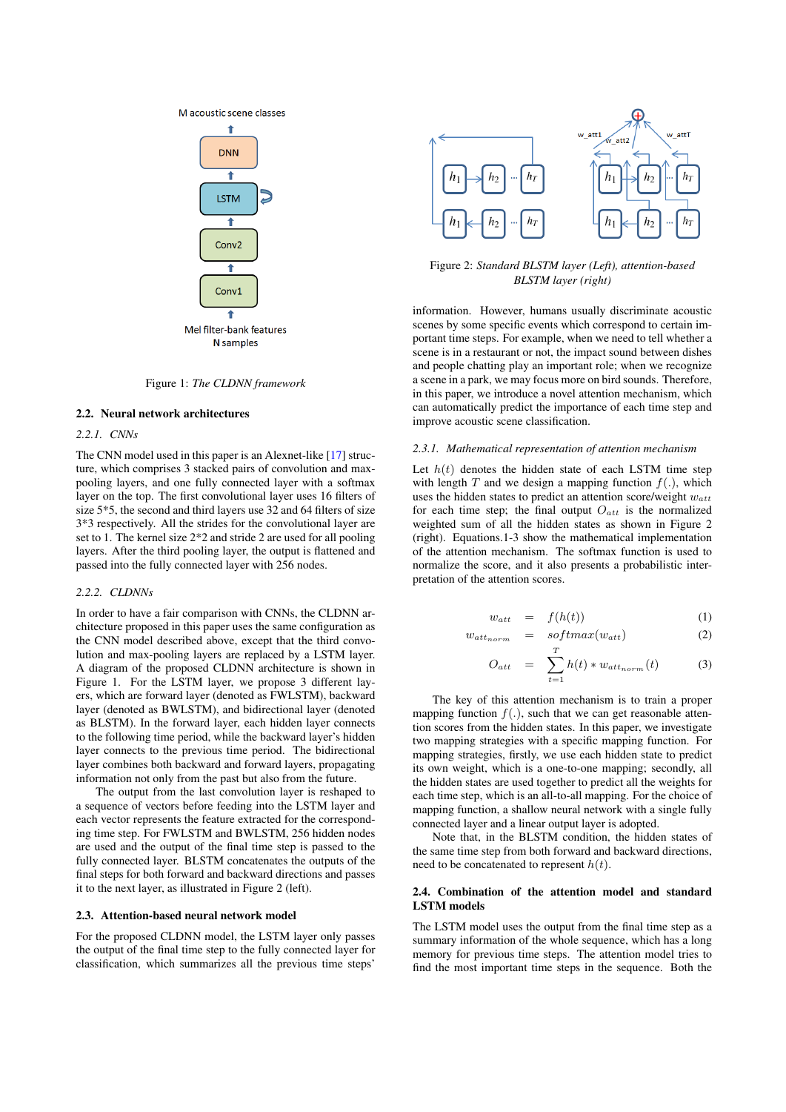



Figure 1: *The CLDNN framework*

#### 2.2. Neural network architectures

### *2.2.1. CNNs*

The CNN model used in this paper is an Alexnet-like [\[17\]](#page-4-16) structure, which comprises 3 stacked pairs of convolution and maxpooling layers, and one fully connected layer with a softmax layer on the top. The first convolutional layer uses 16 filters of size 5\*5, the second and third layers use 32 and 64 filters of size 3\*3 respectively. All the strides for the convolutional layer are set to 1. The kernel size 2\*2 and stride 2 are used for all pooling layers. After the third pooling layer, the output is flattened and passed into the fully connected layer with 256 nodes.

#### *2.2.2. CLDNNs*

In order to have a fair comparison with CNNs, the CLDNN architecture proposed in this paper uses the same configuration as the CNN model described above, except that the third convolution and max-pooling layers are replaced by a LSTM layer. A diagram of the proposed CLDNN architecture is shown in Figure 1. For the LSTM layer, we propose 3 different layers, which are forward layer (denoted as FWLSTM), backward layer (denoted as BWLSTM), and bidirectional layer (denoted as BLSTM). In the forward layer, each hidden layer connects to the following time period, while the backward layer's hidden layer connects to the previous time period. The bidirectional layer combines both backward and forward layers, propagating information not only from the past but also from the future.

The output from the last convolution layer is reshaped to a sequence of vectors before feeding into the LSTM layer and each vector represents the feature extracted for the corresponding time step. For FWLSTM and BWLSTM, 256 hidden nodes are used and the output of the final time step is passed to the fully connected layer. BLSTM concatenates the outputs of the final steps for both forward and backward directions and passes it to the next layer, as illustrated in Figure 2 (left).

### 2.3. Attention-based neural network model

For the proposed CLDNN model, the LSTM layer only passes the output of the final time step to the fully connected layer for classification, which summarizes all the previous time steps'



Figure 2: *Standard BLSTM layer (Left), attention-based BLSTM layer (right)*

information. However, humans usually discriminate acoustic scenes by some specific events which correspond to certain important time steps. For example, when we need to tell whether a scene is in a restaurant or not, the impact sound between dishes and people chatting play an important role; when we recognize a scene in a park, we may focus more on bird sounds. Therefore, in this paper, we introduce a novel attention mechanism, which can automatically predict the importance of each time step and improve acoustic scene classification.

#### *2.3.1. Mathematical representation of attention mechanism*

Let  $h(t)$  denotes the hidden state of each LSTM time step with length  $T$  and we design a mapping function  $f(.)$ , which uses the hidden states to predict an attention score/weight  $w_{att}$ for each time step; the final output  $O_{att}$  is the normalized weighted sum of all the hidden states as shown in Figure 2 (right). Equations.1-3 show the mathematical implementation of the attention mechanism. The softmax function is used to normalize the score, and it also presents a probabilistic interpretation of the attention scores.

$$
w_{att} = f(h(t)) \tag{1}
$$

$$
w_{attnorm} = softmax(w_{att}) \t\t(2)
$$

$$
O_{att} = \sum_{t=1}^{T} h(t) * w_{att_{norm}}(t)
$$
 (3)

The key of this attention mechanism is to train a proper mapping function  $f(.)$ , such that we can get reasonable attention scores from the hidden states. In this paper, we investigate two mapping strategies with a specific mapping function. For mapping strategies, firstly, we use each hidden state to predict its own weight, which is a one-to-one mapping; secondly, all the hidden states are used together to predict all the weights for each time step, which is an all-to-all mapping. For the choice of mapping function, a shallow neural network with a single fully connected layer and a linear output layer is adopted.

Note that, in the BLSTM condition, the hidden states of the same time step from both forward and backward directions, need to be concatenated to represent  $h(t)$ .

### 2.4. Combination of the attention model and standard LSTM models

The LSTM model uses the output from the final time step as a summary information of the whole sequence, which has a long memory for previous time steps. The attention model tries to find the most important time steps in the sequence. Both the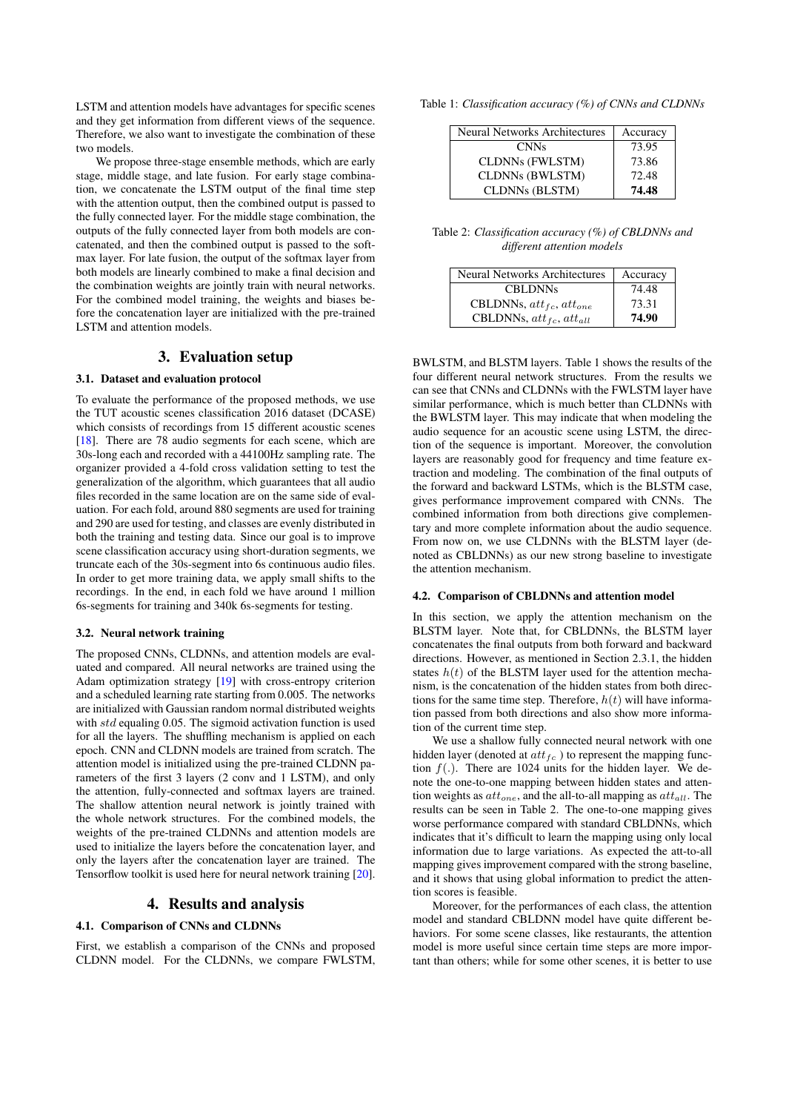LSTM and attention models have advantages for specific scenes and they get information from different views of the sequence. Therefore, we also want to investigate the combination of these two models.

We propose three-stage ensemble methods, which are early stage, middle stage, and late fusion. For early stage combination, we concatenate the LSTM output of the final time step with the attention output, then the combined output is passed to the fully connected layer. For the middle stage combination, the outputs of the fully connected layer from both models are concatenated, and then the combined output is passed to the softmax layer. For late fusion, the output of the softmax layer from both models are linearly combined to make a final decision and the combination weights are jointly train with neural networks. For the combined model training, the weights and biases before the concatenation layer are initialized with the pre-trained LSTM and attention models.

# 3. Evaluation setup

### 3.1. Dataset and evaluation protocol

To evaluate the performance of the proposed methods, we use the TUT acoustic scenes classification 2016 dataset (DCASE) which consists of recordings from 15 different acoustic scenes [\[18\]](#page-4-17). There are 78 audio segments for each scene, which are 30s-long each and recorded with a 44100Hz sampling rate. The organizer provided a 4-fold cross validation setting to test the generalization of the algorithm, which guarantees that all audio files recorded in the same location are on the same side of evaluation. For each fold, around 880 segments are used for training and 290 are used for testing, and classes are evenly distributed in both the training and testing data. Since our goal is to improve scene classification accuracy using short-duration segments, we truncate each of the 30s-segment into 6s continuous audio files. In order to get more training data, we apply small shifts to the recordings. In the end, in each fold we have around 1 million 6s-segments for training and 340k 6s-segments for testing.

#### 3.2. Neural network training

The proposed CNNs, CLDNNs, and attention models are evaluated and compared. All neural networks are trained using the Adam optimization strategy [\[19\]](#page-4-18) with cross-entropy criterion and a scheduled learning rate starting from 0.005. The networks are initialized with Gaussian random normal distributed weights with std equaling 0.05. The sigmoid activation function is used for all the layers. The shuffling mechanism is applied on each epoch. CNN and CLDNN models are trained from scratch. The attention model is initialized using the pre-trained CLDNN parameters of the first 3 layers (2 conv and 1 LSTM), and only the attention, fully-connected and softmax layers are trained. The shallow attention neural network is jointly trained with the whole network structures. For the combined models, the weights of the pre-trained CLDNNs and attention models are used to initialize the layers before the concatenation layer, and only the layers after the concatenation layer are trained. The Tensorflow toolkit is used here for neural network training [\[20\]](#page-4-19).

## 4. Results and analysis

#### 4.1. Comparison of CNNs and CLDNNs

First, we establish a comparison of the CNNs and proposed CLDNN model. For the CLDNNs, we compare FWLSTM, Table 1: *Classification accuracy (%) of CNNs and CLDNNs*

| <b>Neural Networks Architectures</b> | Accuracy |
|--------------------------------------|----------|
| <b>CNNs</b>                          | 73.95    |
| <b>CLDNNs (FWLSTM)</b>               | 73.86    |
| <b>CLDNNs (BWLSTM)</b>               | 72.48    |
| <b>CLDNNs (BLSTM)</b>                | 74.48    |

Table 2: *Classification accuracy (%) of CBLDNNs and different attention models*

| <b>Neural Networks Architectures</b> | Accuracy |
|--------------------------------------|----------|
| <b>CBLDNNs</b>                       | 74.48    |
| CBLDNNs, $att_{fc}$ , $att_{one}$    | 73.31    |
| CBLDNNs, $att_{fc}$ , $att_{all}$    | 74.90    |

BWLSTM, and BLSTM layers. Table 1 shows the results of the four different neural network structures. From the results we can see that CNNs and CLDNNs with the FWLSTM layer have similar performance, which is much better than CLDNNs with the BWLSTM layer. This may indicate that when modeling the audio sequence for an acoustic scene using LSTM, the direction of the sequence is important. Moreover, the convolution layers are reasonably good for frequency and time feature extraction and modeling. The combination of the final outputs of the forward and backward LSTMs, which is the BLSTM case, gives performance improvement compared with CNNs. The combined information from both directions give complementary and more complete information about the audio sequence. From now on, we use CLDNNs with the BLSTM layer (denoted as CBLDNNs) as our new strong baseline to investigate the attention mechanism.

#### 4.2. Comparison of CBLDNNs and attention model

In this section, we apply the attention mechanism on the BLSTM layer. Note that, for CBLDNNs, the BLSTM layer concatenates the final outputs from both forward and backward directions. However, as mentioned in Section 2.3.1, the hidden states  $h(t)$  of the BLSTM layer used for the attention mechanism, is the concatenation of the hidden states from both directions for the same time step. Therefore,  $h(t)$  will have information passed from both directions and also show more information of the current time step.

We use a shallow fully connected neural network with one hidden layer (denoted at  $att_{fc}$ ) to represent the mapping function  $f(.)$ . There are 1024 units for the hidden layer. We denote the one-to-one mapping between hidden states and attention weights as  $atto_{\text{ne}}$ , and the all-to-all mapping as  $at_{\text{all}}$ . The results can be seen in Table 2. The one-to-one mapping gives worse performance compared with standard CBLDNNs, which indicates that it's difficult to learn the mapping using only local information due to large variations. As expected the att-to-all mapping gives improvement compared with the strong baseline, and it shows that using global information to predict the attention scores is feasible.

Moreover, for the performances of each class, the attention model and standard CBLDNN model have quite different behaviors. For some scene classes, like restaurants, the attention model is more useful since certain time steps are more important than others; while for some other scenes, it is better to use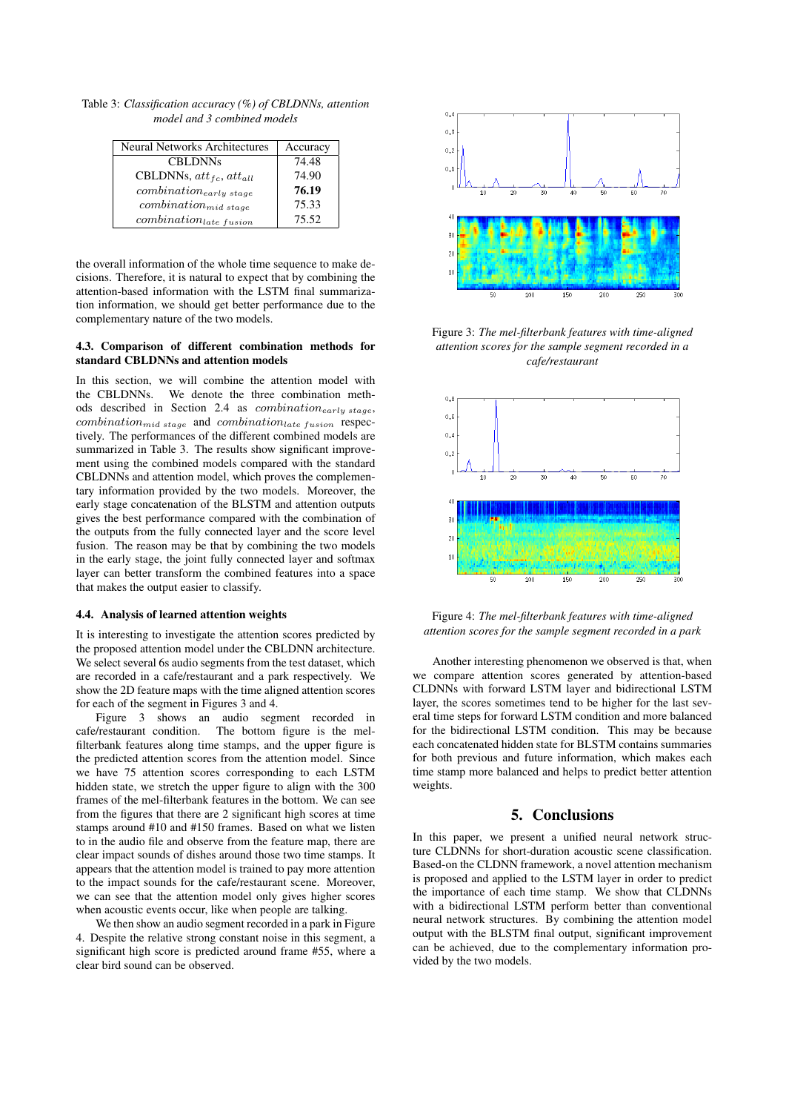Table 3: *Classification accuracy (%) of CBLDNNs, attention model and 3 combined models*

| <b>Neural Networks Architectures</b> | Accuracy |
|--------------------------------------|----------|
| <b>CBLDNNs</b>                       | 74.48    |
| CBLDNNs, $att_{fc}$ , $att_{all}$    | 74.90    |
| $combination_{early\ stage}$         | 76.19    |
| $combination_{mid\ stage}$           | 75.33    |
| $combination_{late\ fusion}$         | 75.52    |

the overall information of the whole time sequence to make decisions. Therefore, it is natural to expect that by combining the attention-based information with the LSTM final summarization information, we should get better performance due to the complementary nature of the two models.

### 4.3. Comparison of different combination methods for standard CBLDNNs and attention models

In this section, we will combine the attention model with the CBLDNNs. We denote the three combination methods described in Section 2.4 as *combination<sub>early stage*,</sub>  $combination_{mid\ stage}$  and  $combination_{late\ fusion}$  respectively. The performances of the different combined models are summarized in Table 3. The results show significant improvement using the combined models compared with the standard CBLDNNs and attention model, which proves the complementary information provided by the two models. Moreover, the early stage concatenation of the BLSTM and attention outputs gives the best performance compared with the combination of the outputs from the fully connected layer and the score level fusion. The reason may be that by combining the two models in the early stage, the joint fully connected layer and softmax layer can better transform the combined features into a space that makes the output easier to classify.

### 4.4. Analysis of learned attention weights

It is interesting to investigate the attention scores predicted by the proposed attention model under the CBLDNN architecture. We select several 6s audio segments from the test dataset, which are recorded in a cafe/restaurant and a park respectively. We show the 2D feature maps with the time aligned attention scores for each of the segment in Figures 3 and 4.

Figure 3 shows an audio segment recorded in cafe/restaurant condition. The bottom figure is the melfilterbank features along time stamps, and the upper figure is the predicted attention scores from the attention model. Since we have 75 attention scores corresponding to each LSTM hidden state, we stretch the upper figure to align with the 300 frames of the mel-filterbank features in the bottom. We can see from the figures that there are 2 significant high scores at time stamps around #10 and #150 frames. Based on what we listen to in the audio file and observe from the feature map, there are clear impact sounds of dishes around those two time stamps. It appears that the attention model is trained to pay more attention to the impact sounds for the cafe/restaurant scene. Moreover, we can see that the attention model only gives higher scores when acoustic events occur, like when people are talking.

We then show an audio segment recorded in a park in Figure 4. Despite the relative strong constant noise in this segment, a significant high score is predicted around frame #55, where a clear bird sound can be observed.



Figure 3: *The mel-filterbank features with time-aligned attention scores for the sample segment recorded in a cafe/restaurant*



Figure 4: *The mel-filterbank features with time-aligned attention scores for the sample segment recorded in a park*

Another interesting phenomenon we observed is that, when we compare attention scores generated by attention-based CLDNNs with forward LSTM layer and bidirectional LSTM layer, the scores sometimes tend to be higher for the last several time steps for forward LSTM condition and more balanced for the bidirectional LSTM condition. This may be because each concatenated hidden state for BLSTM contains summaries for both previous and future information, which makes each time stamp more balanced and helps to predict better attention weights.

## 5. Conclusions

In this paper, we present a unified neural network structure CLDNNs for short-duration acoustic scene classification. Based-on the CLDNN framework, a novel attention mechanism is proposed and applied to the LSTM layer in order to predict the importance of each time stamp. We show that CLDNNs with a bidirectional LSTM perform better than conventional neural network structures. By combining the attention model output with the BLSTM final output, significant improvement can be achieved, due to the complementary information provided by the two models.